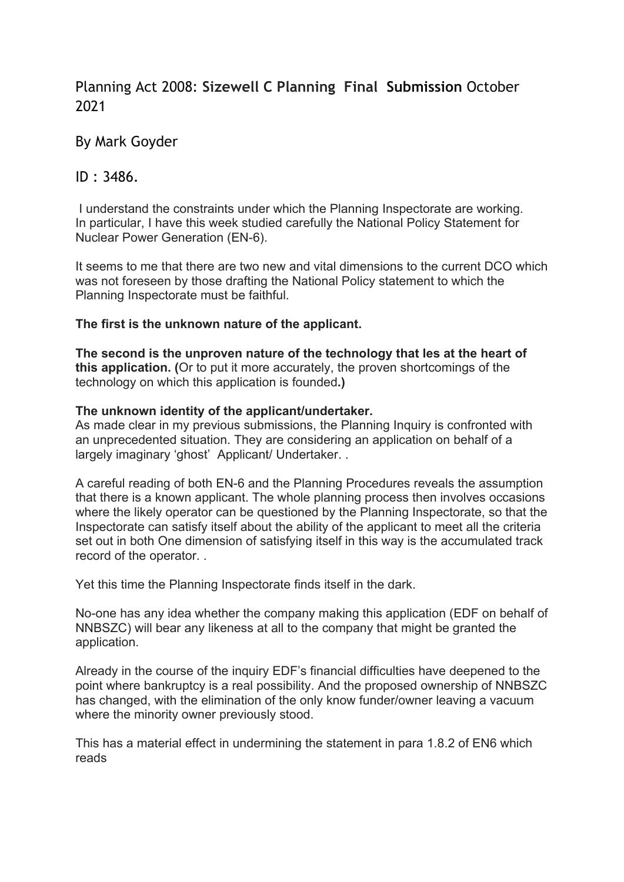# Planning Act 2008: **Sizewell C Planning Final Submission** October 2021

# By Mark Goyder

## ID : 3486.

I understand the constraints under which the Planning Inspectorate are working. In particular, I have this week studied carefully the National Policy Statement for Nuclear Power Generation (EN-6).

It seems to me that there are two new and vital dimensions to the current DCO which was not foreseen by those drafting the National Policy statement to which the Planning Inspectorate must be faithful.

## **The first is the unknown nature of the applicant.**

**The second is the unproven nature of the technology that les at the heart of this application. (**Or to put it more accurately, the proven shortcomings of the technology on which this application is founded**.)**

### **The unknown identity of the applicant/undertaker.**

As made clear in my previous submissions, the Planning Inquiry is confronted with an unprecedented situation. They are considering an application on behalf of a largely imaginary 'ghost' Applicant/ Undertaker. .

A careful reading of both EN-6 and the Planning Procedures reveals the assumption that there is a known applicant. The whole planning process then involves occasions where the likely operator can be questioned by the Planning Inspectorate, so that the Inspectorate can satisfy itself about the ability of the applicant to meet all the criteria set out in both One dimension of satisfying itself in this way is the accumulated track record of the operator. .

Yet this time the Planning Inspectorate finds itself in the dark.

No-one has any idea whether the company making this application (EDF on behalf of NNBSZC) will bear any likeness at all to the company that might be granted the application.

Already in the course of the inquiry EDF's financial difficulties have deepened to the point where bankruptcy is a real possibility. And the proposed ownership of NNBSZC has changed, with the elimination of the only know funder/owner leaving a vacuum where the minority owner previously stood.

This has a material effect in undermining the statement in para 1.8.2 of EN6 which reads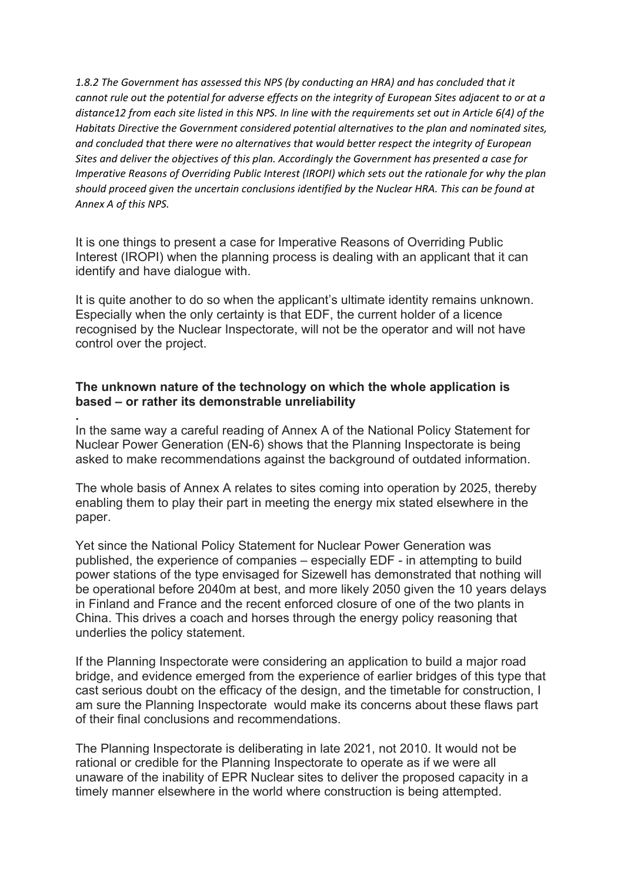*1.8.2 The Government has assessed this NPS (by conducting an HRA) and has concluded that it cannot rule out the potential for adverse effects on the integrity of European Sites adjacent to or at a distance12 from each site listed in this NPS. In line with the requirements set out in Article 6(4) of the Habitats Directive the Government considered potential alternatives to the plan and nominated sites, and concluded that there were no alternatives that would better respect the integrity of European Sites and deliver the objectives of this plan. Accordingly the Government has presented a case for Imperative Reasons of Overriding Public Interest (IROPI) which sets out the rationale for why the plan should proceed given the uncertain conclusions identified by the Nuclear HRA. This can be found at Annex A of this NPS.*

It is one things to present a case for Imperative Reasons of Overriding Public Interest (IROPI) when the planning process is dealing with an applicant that it can identify and have dialogue with.

It is quite another to do so when the applicant's ultimate identity remains unknown. Especially when the only certainty is that EDF, the current holder of a licence recognised by the Nuclear Inspectorate, will not be the operator and will not have control over the project.

## **The unknown nature of the technology on which the whole application is based – or rather its demonstrable unreliability**

**.**  In the same way a careful reading of Annex A of the National Policy Statement for Nuclear Power Generation (EN-6) shows that the Planning Inspectorate is being asked to make recommendations against the background of outdated information.

The whole basis of Annex A relates to sites coming into operation by 2025, thereby enabling them to play their part in meeting the energy mix stated elsewhere in the paper.

Yet since the National Policy Statement for Nuclear Power Generation was published, the experience of companies – especially EDF - in attempting to build power stations of the type envisaged for Sizewell has demonstrated that nothing will be operational before 2040m at best, and more likely 2050 given the 10 years delays in Finland and France and the recent enforced closure of one of the two plants in China. This drives a coach and horses through the energy policy reasoning that underlies the policy statement.

If the Planning Inspectorate were considering an application to build a major road bridge, and evidence emerged from the experience of earlier bridges of this type that cast serious doubt on the efficacy of the design, and the timetable for construction, I am sure the Planning Inspectorate would make its concerns about these flaws part of their final conclusions and recommendations.

The Planning Inspectorate is deliberating in late 2021, not 2010. It would not be rational or credible for the Planning Inspectorate to operate as if we were all unaware of the inability of EPR Nuclear sites to deliver the proposed capacity in a timely manner elsewhere in the world where construction is being attempted.